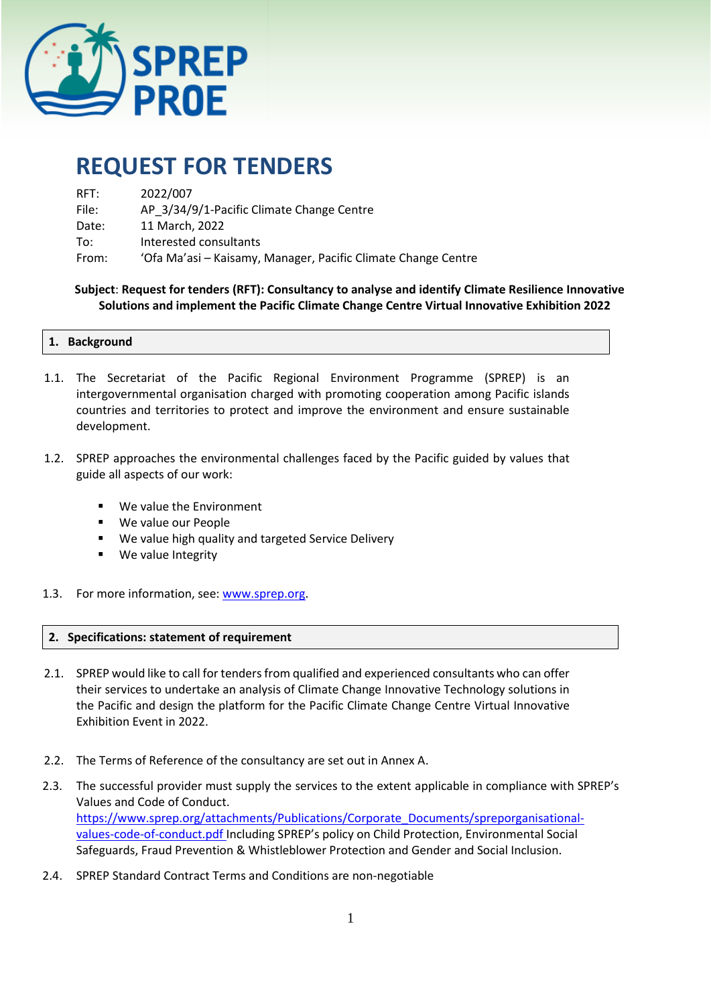

# **REQUEST FOR TENDERS**

| RFT:  | 2022/007                                                      |
|-------|---------------------------------------------------------------|
| File: | AP 3/34/9/1-Pacific Climate Change Centre                     |
| Date: | 11 March, 2022                                                |
| To:   | Interested consultants                                        |
| From: | 'Ofa Ma'asi – Kaisamy, Manager, Pacific Climate Change Centre |

 **Subject**: **Request for tenders (RFT): Consultancy to analyse and identify Climate Resilience Innovative Solutions and implement the Pacific Climate Change Centre Virtual Innovative Exhibition 2022**

#### **1. Background**

- 1.1. The Secretariat of the Pacific Regional Environment Programme (SPREP) is an intergovernmental organisation charged with promoting cooperation among Pacific islands countries and territories to protect and improve the environment and ensure sustainable development.
- 1.2. SPREP approaches the environmental challenges faced by the Pacific guided by values that guide all aspects of our work:
	- We value the Environment
	- We value our People
	- We value high quality and targeted Service Delivery
	- We value Integrity
- 1.3. For more information, see: [www.sprep.org.](http://www.sprep.org/)

## **2. Specifications: statement of requirement**

- 2.1. SPREP would like to call for tenders from qualified and experienced consultants who can offer their services to undertake an analysis of Climate Change Innovative Technology solutions in the Pacific and design the platform for the Pacific Climate Change Centre Virtual Innovative Exhibition Event in 2022.
- 2.2. The Terms of Reference of the consultancy are set out in Annex A.
- 2.3. The successful provider must supply the services to the extent applicable in compliance with SPREP's Values and Code of Conduct. [https://www.sprep.org/attachments/Publications/Corporate\\_Documents/spreporganisational](https://www.sprep.org/attachments/Publications/Corporate_Documents/spreporganisational-values-code-of-conduct.pdf)[values-code-of-conduct.pdf](https://www.sprep.org/attachments/Publications/Corporate_Documents/spreporganisational-values-code-of-conduct.pdf) Including SPREP's policy on Child Protection, Environmental Social Safeguards, Fraud Prevention & Whistleblower Protection and Gender and Social Inclusion.
- 2.4. SPREP Standard Contract Terms and Conditions are non-negotiable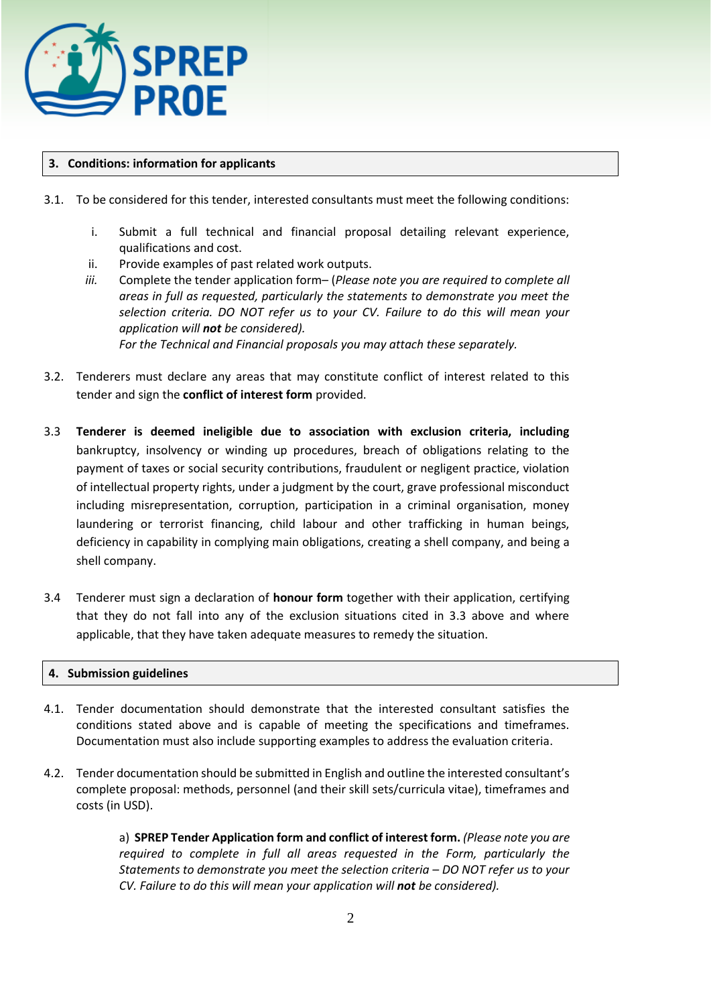

# **3. Conditions: information for applicants**

- 3.1. To be considered for this tender, interested consultants must meet the following conditions:
	- i. Submit a full technical and financial proposal detailing relevant experience, qualifications and cost.
	- ii. Provide examples of past related work outputs.
	- *iii.* Complete the tender application form– (*Please note you are required to complete all areas in full as requested, particularly the statements to demonstrate you meet the selection criteria. DO NOT refer us to your CV. Failure to do this will mean your application will not be considered). For the Technical and Financial proposals you may attach these separately.*
- 3.2. Tenderers must declare any areas that may constitute conflict of interest related to this tender and sign the **conflict of interest form** provided.
- 3.3 **Tenderer is deemed ineligible due to association with exclusion criteria, including**  bankruptcy, insolvency or winding up procedures, breach of obligations relating to the payment of taxes or social security contributions, fraudulent or negligent practice, violation of intellectual property rights, under a judgment by the court, grave professional misconduct including misrepresentation, corruption, participation in a criminal organisation, money laundering or terrorist financing, child labour and other trafficking in human beings, deficiency in capability in complying main obligations, creating a shell company, and being a shell company.
- 3.4 Tenderer must sign a declaration of **honour form** together with their application, certifying that they do not fall into any of the exclusion situations cited in 3.3 above and where applicable, that they have taken adequate measures to remedy the situation.

## **4. Submission guidelines**

- 4.1. Tender documentation should demonstrate that the interested consultant satisfies the conditions stated above and is capable of meeting the specifications and timeframes. Documentation must also include supporting examples to address the evaluation criteria.
- 4.2. Tender documentation should be submitted in English and outline the interested consultant's complete proposal: methods, personnel (and their skill sets/curricula vitae), timeframes and costs (in USD).

a) **SPREP Tender Application form and conflict of interest form.** *(Please note you are required to complete in full all areas requested in the Form, particularly the Statements to demonstrate you meet the selection criteria – DO NOT refer us to your CV. Failure to do this will mean your application will not be considered).*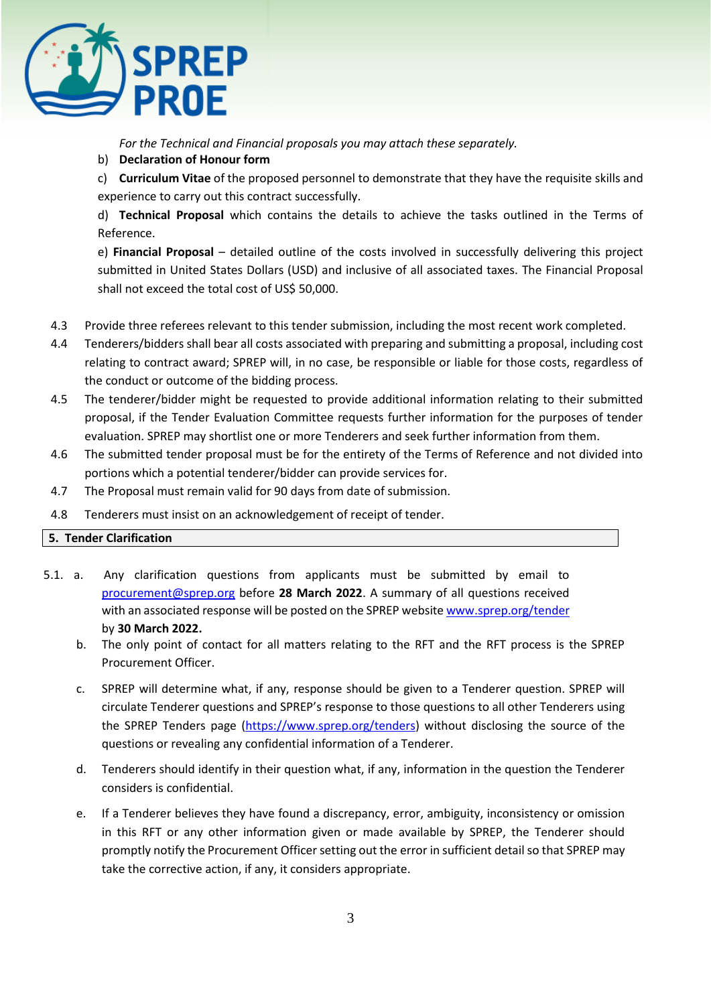

*For the Technical and Financial proposals you may attach these separately.* 

b) **Declaration of Honour form**

c) **Curriculum Vitae** of the proposed personnel to demonstrate that they have the requisite skills and experience to carry out this contract successfully.

d) **Technical Proposal** which contains the details to achieve the tasks outlined in the Terms of Reference.

e) **Financial Proposal** – detailed outline of the costs involved in successfully delivering this project submitted in United States Dollars (USD) and inclusive of all associated taxes. The Financial Proposal shall not exceed the total cost of US\$ 50,000.

- 4.3 Provide three referees relevant to this tender submission, including the most recent work completed.
- 4.4 Tenderers/bidders shall bear all costs associated with preparing and submitting a proposal, including cost relating to contract award; SPREP will, in no case, be responsible or liable for those costs, regardless of the conduct or outcome of the bidding process.
- 4.5 The tenderer/bidder might be requested to provide additional information relating to their submitted proposal, if the Tender Evaluation Committee requests further information for the purposes of tender evaluation. SPREP may shortlist one or more Tenderers and seek further information from them.
- 4.6 The submitted tender proposal must be for the entirety of the Terms of Reference and not divided into portions which a potential tenderer/bidder can provide services for.
- 4.7 The Proposal must remain valid for 90 days from date of submission.
- 4.8 Tenderers must insist on an acknowledgement of receipt of tender.

# **5. Tender Clarification**

- 5.1. a. Any clarification questions from applicants must be submitted by email to [procurement@sprep.org](mailto:procurement@sprep.org) before **28 March 2022**. A summary of all questions received with an associated response will be posted on the SPREP websit[e www.sprep.org/tender](http://www.sprep.org/tender) by **30 March 2022.**
	- b. The only point of contact for all matters relating to the RFT and the RFT process is the SPREP Procurement Officer.
	- c. SPREP will determine what, if any, response should be given to a Tenderer question. SPREP will circulate Tenderer questions and SPREP's response to those questions to all other Tenderers using the SPREP Tenders page [\(https://www.sprep.org/tenders\)](https://www.sprep.org/tenders) without disclosing the source of the questions or revealing any confidential information of a Tenderer.
	- d. Tenderers should identify in their question what, if any, information in the question the Tenderer considers is confidential.
	- e. If a Tenderer believes they have found a discrepancy, error, ambiguity, inconsistency or omission in this RFT or any other information given or made available by SPREP, the Tenderer should promptly notify the Procurement Officer setting out the error in sufficient detail so that SPREP may take the corrective action, if any, it considers appropriate.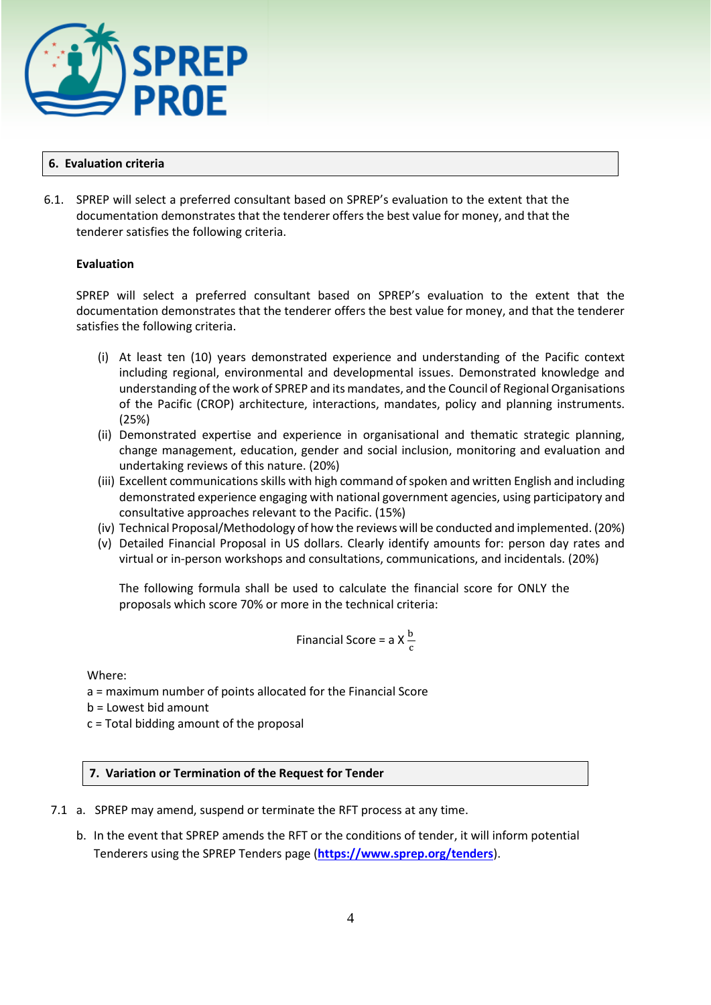

## **6. Evaluation criteria**

6.1. SPREP will select a preferred consultant based on SPREP's evaluation to the extent that the documentation demonstrates that the tenderer offers the best value for money, and that the tenderer satisfies the following criteria.

# **Evaluation**

SPREP will select a preferred consultant based on SPREP's evaluation to the extent that the documentation demonstrates that the tenderer offers the best value for money, and that the tenderer satisfies the following criteria.

- (i) At least ten (10) years demonstrated experience and understanding of the Pacific context including regional, environmental and developmental issues. Demonstrated knowledge and understanding of the work of SPREP and its mandates, and the Council of Regional Organisations of the Pacific (CROP) architecture, interactions, mandates, policy and planning instruments. (25%)
- (ii) Demonstrated expertise and experience in organisational and thematic strategic planning, change management, education, gender and social inclusion, monitoring and evaluation and undertaking reviews of this nature. (20%)
- (iii) Excellent communications skills with high command of spoken and written English and including demonstrated experience engaging with national government agencies, using participatory and consultative approaches relevant to the Pacific. (15%)
- (iv) Technical Proposal/Methodology of how the reviews will be conducted and implemented. (20%)
- (v) Detailed Financial Proposal in US dollars. Clearly identify amounts for: person day rates and virtual or in-person workshops and consultations, communications, and incidentals. (20%)

The following formula shall be used to calculate the financial score for ONLY the proposals which score 70% or more in the technical criteria:

Financial Score = a X 
$$
\frac{b}{c}
$$

Where:

a = maximum number of points allocated for the Financial Score

b = Lowest bid amount

c = Total bidding amount of the proposal

## **7. Variation or Termination of the Request for Tender**

- 7.1 a. SPREP may amend, suspend or terminate the RFT process at any time.
	- b. In the event that SPREP amends the RFT or the conditions of tender, it will inform potential Tenderers using the SPREP Tenders page (**<https://www.sprep.org/tenders>**).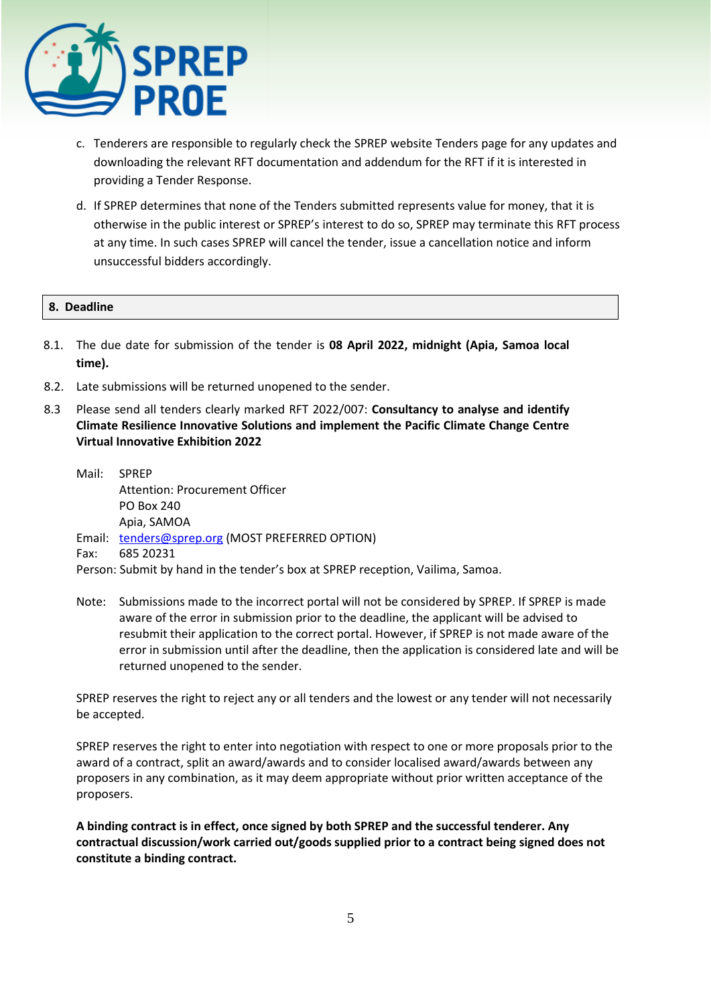

- c. Tenderers are responsible to regularly check the SPREP website Tenders page for any updates and downloading the relevant RFT documentation and addendum for the RFT if it is interested in providing a Tender Response.
- d. If SPREP determines that none of the Tenders submitted represents value for money, that it is otherwise in the public interest or SPREP's interest to do so, SPREP may terminate this RFT process at any time. In such cases SPREP will cancel the tender, issue a cancellation notice and inform unsuccessful bidders accordingly.

## **8. Deadline**

- 8.1. The due date for submission of the tender is **08 April 2022, midnight (Apia, Samoa local time).**
- 8.2. Late submissions will be returned unopened to the sender.
- 8.3 Please send all tenders clearly marked RFT 2022/007: **Consultancy to analyse and identify Climate Resilience Innovative Solutions and implement the Pacific Climate Change Centre Virtual Innovative Exhibition 2022**
	- Mail: SPREP Attention: Procurement Officer PO Box 240 Apia, SAMOA Email: [tenders@sprep.org](mailto:tenders@sprep.org) (MOST PREFERRED OPTION) Fax: 685 20231
	- Person: Submit by hand in the tender's box at SPREP reception, Vailima, Samoa.
	- Note: Submissions made to the incorrect portal will not be considered by SPREP. If SPREP is made aware of the error in submission prior to the deadline, the applicant will be advised to resubmit their application to the correct portal. However, if SPREP is not made aware of the error in submission until after the deadline, then the application is considered late and will be returned unopened to the sender.

SPREP reserves the right to reject any or all tenders and the lowest or any tender will not necessarily be accepted.

SPREP reserves the right to enter into negotiation with respect to one or more proposals prior to the award of a contract, split an award/awards and to consider localised award/awards between any proposers in any combination, as it may deem appropriate without prior written acceptance of the proposers.

**A binding contract is in effect, once signed by both SPREP and the successful tenderer. Any contractual discussion/work carried out/goods supplied prior to a contract being signed does not constitute a binding contract.**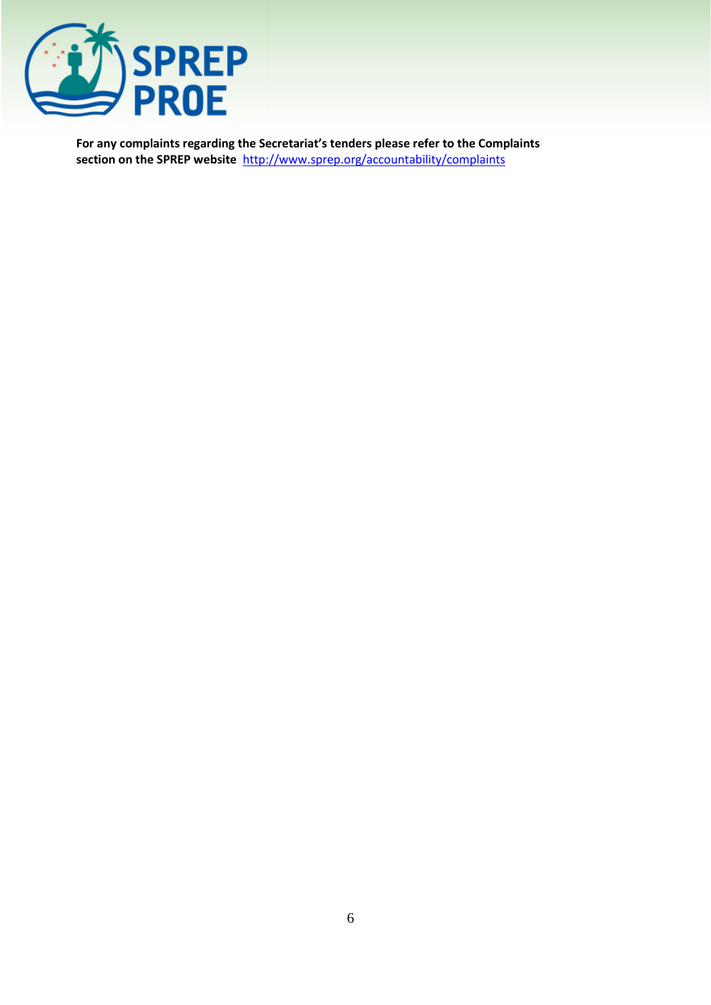

**For any complaints regarding the Secretariat's tenders please refer to the Complaints section on the SPREP website** <http://www.sprep.org/accountability/complaints>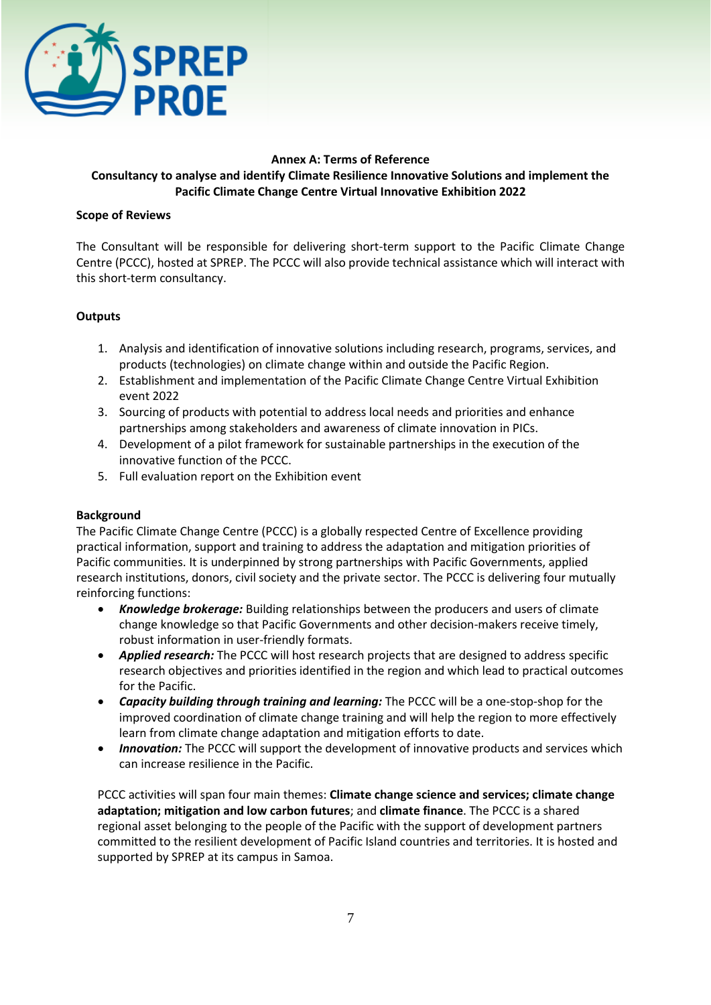

## **Annex A: Terms of Reference Consultancy to analyse and identify Climate Resilience Innovative Solutions and implement the Pacific Climate Change Centre Virtual Innovative Exhibition 2022**

#### **Scope of Reviews**

The Consultant will be responsible for delivering short-term support to the Pacific Climate Change Centre (PCCC), hosted at SPREP. The PCCC will also provide technical assistance which will interact with this short-term consultancy.

# **Outputs**

- 1. Analysis and identification of innovative solutions including research, programs, services, and products (technologies) on climate change within and outside the Pacific Region.
- 2. Establishment and implementation of the Pacific Climate Change Centre Virtual Exhibition event 2022
- 3. Sourcing of products with potential to address local needs and priorities and enhance partnerships among stakeholders and awareness of climate innovation in PICs.
- 4. Development of a pilot framework for sustainable partnerships in the execution of the innovative function of the PCCC.
- 5. Full evaluation report on the Exhibition event

## **Background**

The Pacific Climate Change Centre (PCCC) is a globally respected Centre of Excellence providing practical information, support and training to address the adaptation and mitigation priorities of Pacific communities. It is underpinned by strong partnerships with Pacific Governments, applied research institutions, donors, civil society and the private sector. The PCCC is delivering four mutually reinforcing functions:

- *Knowledge brokerage:* Building relationships between the producers and users of climate change knowledge so that Pacific Governments and other decision-makers receive timely, robust information in user-friendly formats.
- *Applied research:* The PCCC will host research projects that are designed to address specific research objectives and priorities identified in the region and which lead to practical outcomes for the Pacific.
- *Capacity building through training and learning:* The PCCC will be a one-stop-shop for the improved coordination of climate change training and will help the region to more effectively learn from climate change adaptation and mitigation efforts to date.
- *Innovation:* The PCCC will support the development of innovative products and services which can increase resilience in the Pacific.

PCCC activities will span four main themes: **Climate change science and services; climate change adaptation; mitigation and low carbon futures**; and **climate finance**. The PCCC is a shared regional asset belonging to the people of the Pacific with the support of development partners committed to the resilient development of Pacific Island countries and territories. It is hosted and supported by SPREP at its campus in Samoa.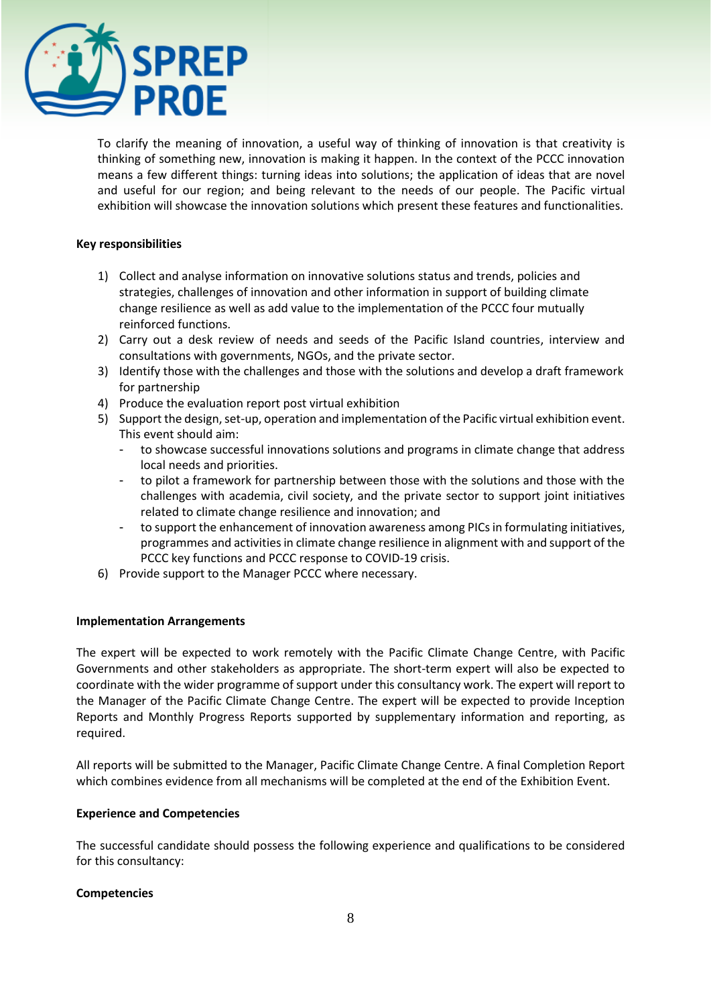

To clarify the meaning of innovation, a useful way of thinking of innovation is that creativity is thinking of something new, innovation is making it happen. In the context of the PCCC innovation means a few different things: turning ideas into solutions; the application of ideas that are novel and useful for our region; and being relevant to the needs of our people. The Pacific virtual exhibition will showcase the innovation solutions which present these features and functionalities.

## **Key responsibilities**

- 1) Collect and analyse information on innovative solutions status and trends, policies and strategies, challenges of innovation and other information in support of building climate change resilience as well as add value to the implementation of the PCCC four mutually reinforced functions.
- 2) Carry out a desk review of needs and seeds of the Pacific Island countries, interview and consultations with governments, NGOs, and the private sector.
- 3) Identify those with the challenges and those with the solutions and develop a draft framework for partnership
- 4) Produce the evaluation report post virtual exhibition
- 5) Support the design, set-up, operation and implementation of the Pacific virtual exhibition event. This event should aim:
	- to showcase successful innovations solutions and programs in climate change that address local needs and priorities.
	- to pilot a framework for partnership between those with the solutions and those with the challenges with academia, civil society, and the private sector to support joint initiatives related to climate change resilience and innovation; and
	- to support the enhancement of innovation awareness among PICs in formulating initiatives, programmes and activities in climate change resilience in alignment with and support of the PCCC key functions and PCCC response to COVID-19 crisis.
- 6) Provide support to the Manager PCCC where necessary.

## **Implementation Arrangements**

The expert will be expected to work remotely with the Pacific Climate Change Centre, with Pacific Governments and other stakeholders as appropriate. The short-term expert will also be expected to coordinate with the wider programme of support under this consultancy work. The expert will report to the Manager of the Pacific Climate Change Centre. The expert will be expected to provide Inception Reports and Monthly Progress Reports supported by supplementary information and reporting, as required.

All reports will be submitted to the Manager, Pacific Climate Change Centre. A final Completion Report which combines evidence from all mechanisms will be completed at the end of the Exhibition Event.

## **Experience and Competencies**

The successful candidate should possess the following experience and qualifications to be considered for this consultancy:

## **Competencies**